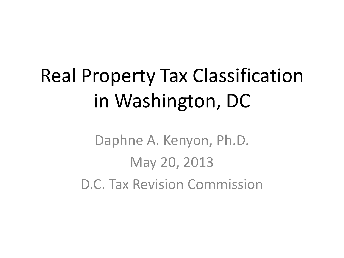# Real Property Tax Classification in Washington, DC

Daphne A. Kenyon, Ph.D. May 20, 2013 D.C. Tax Revision Commission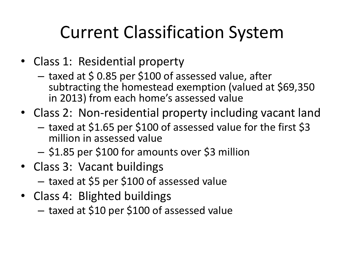## Current Classification System

- Class 1: Residential property
	- taxed at \$ 0.85 per \$100 of assessed value, after subtracting the homestead exemption (valued at \$69,350 in 2013) from each home's assessed value
- Class 2: Non-residential property including vacant land
	- taxed at \$1.65 per \$100 of assessed value for the first \$3 million in assessed value
	- \$1.85 per \$100 for amounts over \$3 million
- Class 3: Vacant buildings
	- taxed at \$5 per \$100 of assessed value
- Class 4: Blighted buildings
	- taxed at \$10 per \$100 of assessed value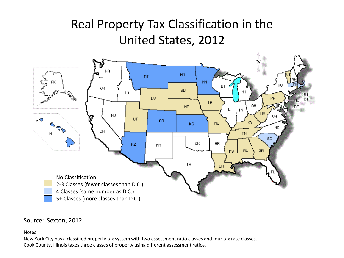#### Real Property Tax Classification in the United States, 2012



#### Source: Sexton, 2012

Notes:

New York City has a classified property tax system with two assessment ratio classes and four tax rate classes. Cook County, Illinois taxes three classes of property using different assessment ratios.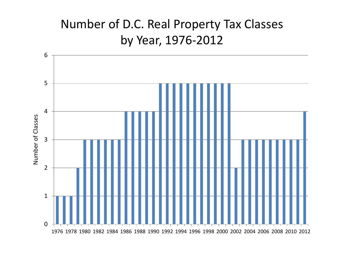#### Number of D.C. Real Property Tax Classes by Year, 1976-2012

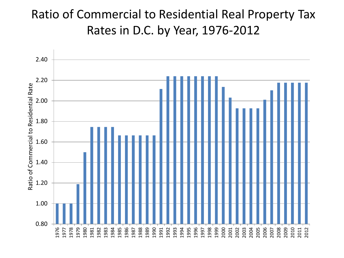#### Ratio of Commercial to Residential Real Property Tax Rates in D.C. by Year, 1976-2012

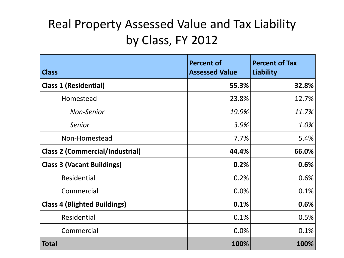### Real Property Assessed Value and Tax Liability by Class, FY 2012

| <b>Class</b>                           | <b>Percent of</b><br><b>Assessed Value</b> | <b>Percent of Tax</b><br>Liability |
|----------------------------------------|--------------------------------------------|------------------------------------|
| <b>Class 1 (Residential)</b>           | 55.3%                                      | 32.8%                              |
| Homestead                              | 23.8%                                      | 12.7%                              |
| <b>Non-Senior</b>                      | 19.9%                                      | 11.7%                              |
| Senior                                 | 3.9%                                       | 1.0%                               |
| Non-Homestead                          | 7.7%                                       | 5.4%                               |
| <b>Class 2 (Commercial/Industrial)</b> | 44.4%                                      | 66.0%                              |
| <b>Class 3 (Vacant Buildings)</b>      | 0.2%                                       | 0.6%                               |
| Residential                            | 0.2%                                       | 0.6%                               |
| Commercial                             | 0.0%                                       | 0.1%                               |
| <b>Class 4 (Blighted Buildings)</b>    | 0.1%                                       | 0.6%                               |
| Residential                            | 0.1%                                       | 0.5%                               |
| Commercial                             | 0.0%                                       | 0.1%                               |
| <b>Total</b>                           | 100%                                       | 100%                               |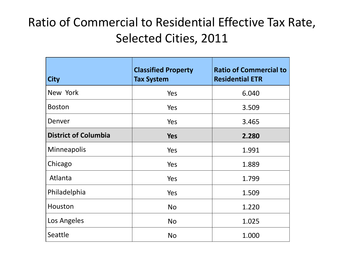#### Ratio of Commercial to Residential Effective Tax Rate, Selected Cities, 2011

| <b>City</b>                 | <b>Classified Property</b><br><b>Tax System</b> | <b>Ratio of Commercial to</b><br><b>Residential ETR</b> |
|-----------------------------|-------------------------------------------------|---------------------------------------------------------|
| New York                    | Yes                                             | 6.040                                                   |
| <b>Boston</b>               | Yes                                             | 3.509                                                   |
| Denver                      | Yes                                             | 3.465                                                   |
| <b>District of Columbia</b> | <b>Yes</b>                                      | 2.280                                                   |
| Minneapolis                 | Yes                                             | 1.991                                                   |
| Chicago                     | Yes                                             | 1.889                                                   |
| Atlanta                     | Yes                                             | 1.799                                                   |
| Philadelphia                | Yes                                             | 1.509                                                   |
| Houston                     | <b>No</b>                                       | 1.220                                                   |
| Los Angeles                 | <b>No</b>                                       | 1.025                                                   |
| Seattle                     | <b>No</b>                                       | 1.000                                                   |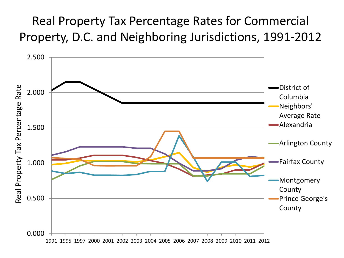#### Real Property Tax Percentage Rates for Commercial Property, D.C. and Neighboring Jurisdictions, 1991-2012

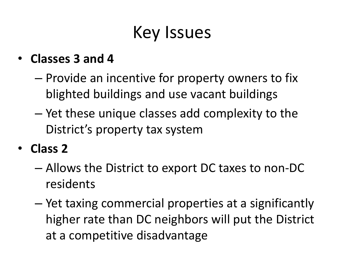### Key Issues

#### • **Classes 3 and 4**

- Provide an incentive for property owners to fix blighted buildings and use vacant buildings
- Yet these unique classes add complexity to the District's property tax system
- **Class 2**
	- Allows the District to export DC taxes to non-DC residents
	- Yet taxing commercial properties at a significantly higher rate than DC neighbors will put the District at a competitive disadvantage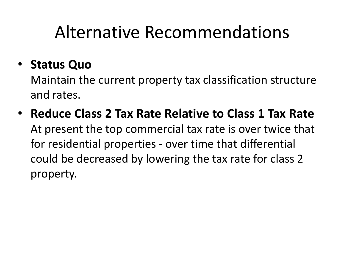### • **Status Quo**

Maintain the current property tax classification structure and rates.

• **Reduce Class 2 Tax Rate Relative to Class 1 Tax Rate**  At present the top commercial tax rate is over twice that for residential properties - over time that differential could be decreased by lowering the tax rate for class 2 property.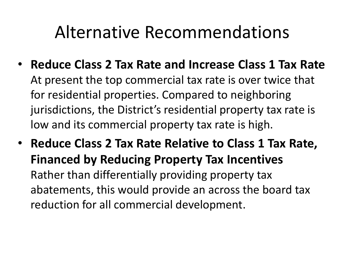- **Reduce Class 2 Tax Rate and Increase Class 1 Tax Rate** At present the top commercial tax rate is over twice that for residential properties. Compared to neighboring jurisdictions, the District's residential property tax rate is low and its commercial property tax rate is high.
- **Reduce Class 2 Tax Rate Relative to Class 1 Tax Rate, Financed by Reducing Property Tax Incentives**  Rather than differentially providing property tax abatements, this would provide an across the board tax reduction for all commercial development.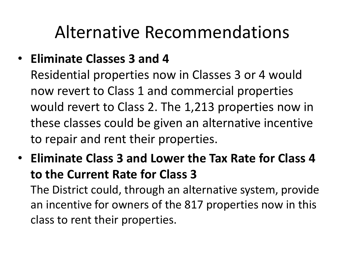#### • **Eliminate Classes 3 and 4**

Residential properties now in Classes 3 or 4 would now revert to Class 1 and commercial properties would revert to Class 2. The 1,213 properties now in these classes could be given an alternative incentive to repair and rent their properties.

• **Eliminate Class 3 and Lower the Tax Rate for Class 4 to the Current Rate for Class 3**

The District could, through an alternative system, provide an incentive for owners of the 817 properties now in this class to rent their properties.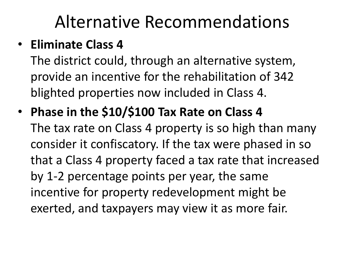#### • **Eliminate Class 4**

The district could, through an alternative system, provide an incentive for the rehabilitation of 342 blighted properties now included in Class 4.

• **Phase in the \$10/\$100 Tax Rate on Class 4** The tax rate on Class 4 property is so high than many consider it confiscatory. If the tax were phased in so that a Class 4 property faced a tax rate that increased by 1-2 percentage points per year, the same incentive for property redevelopment might be exerted, and taxpayers may view it as more fair.